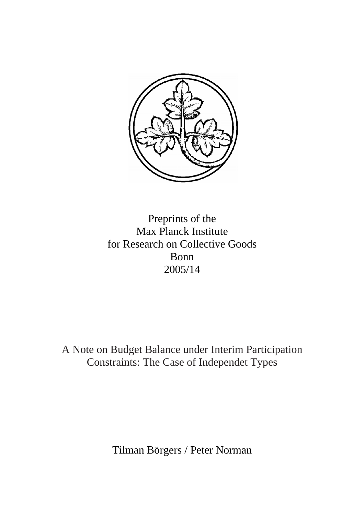

Preprints of the Max Planck Institute for Research on Collective Goods Bonn 2005/14

A Note on Budget Balance under Interim Participation Constraints: The Case of Independet Types

Tilman Börgers / Peter Norman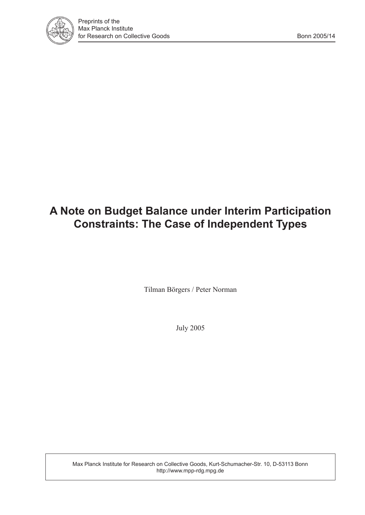

## **A Note on Budget Balance under Interim Participation Constraints: The Case of Independent Types**

Tilman Börgers / Peter Norman

July 2005

Max Planck Institute for Research on Collective Goods, Kurt-Schumacher-Str. 10, D-53113 Bonn http://www.mpp-rdg.mpg.de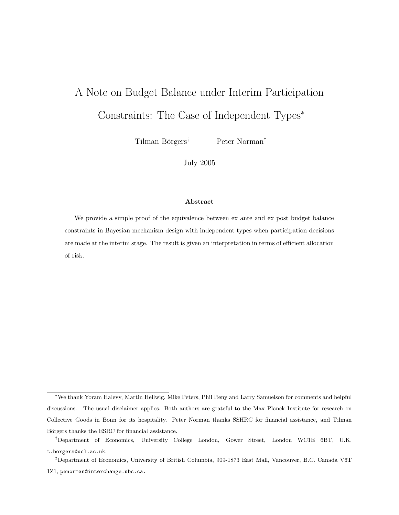# A Note on Budget Balance under Interim Participation Constraints: The Case of Independent Types<sup>∗</sup>

Tilman Börgers<sup>†</sup> Peter Norman<sup>‡</sup>

July 2005

#### Abstract

We provide a simple proof of the equivalence between ex ante and ex post budget balance constraints in Bayesian mechanism design with independent types when participation decisions are made at the interim stage. The result is given an interpretation in terms of efficient allocation of risk.

<sup>∗</sup>We thank Yoram Halevy, Martin Hellwig, Mike Peters, Phil Reny and Larry Samuelson for comments and helpful discussions. The usual disclaimer applies. Both authors are grateful to the Max Planck Institute for research on Collective Goods in Bonn for its hospitality. Peter Norman thanks SSHRC for financial assistance, and Tilman Börgers thanks the ESRC for financial assistance.

<sup>†</sup>Department of Economics, University College London, Gower Street, London WC1E 6BT, U.K, t.borgers@ucl.ac.uk.

<sup>‡</sup>Department of Economics, University of British Columbia, 909-1873 East Mall, Vancouver, B.C. Canada V6T 1Z1, penorman@interchange.ubc.ca.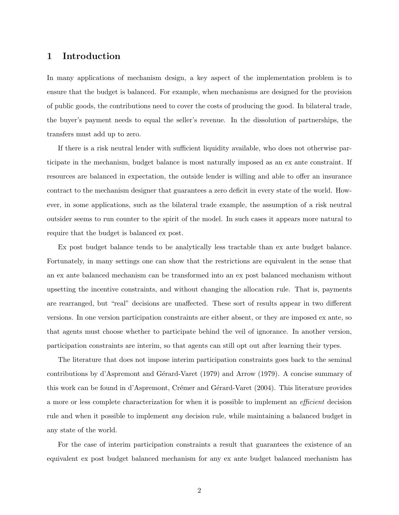#### 1 Introduction

In many applications of mechanism design, a key aspect of the implementation problem is to ensure that the budget is balanced. For example, when mechanisms are designed for the provision of public goods, the contributions need to cover the costs of producing the good. In bilateral trade, the buyer's payment needs to equal the seller's revenue. In the dissolution of partnerships, the transfers must add up to zero.

If there is a risk neutral lender with sufficient liquidity available, who does not otherwise participate in the mechanism, budget balance is most naturally imposed as an ex ante constraint. If resources are balanced in expectation, the outside lender is willing and able to offer an insurance contract to the mechanism designer that guarantees a zero deficit in every state of the world. However, in some applications, such as the bilateral trade example, the assumption of a risk neutral outsider seems to run counter to the spirit of the model. In such cases it appears more natural to require that the budget is balanced ex post.

Ex post budget balance tends to be analytically less tractable than ex ante budget balance. Fortunately, in many settings one can show that the restrictions are equivalent in the sense that an ex ante balanced mechanism can be transformed into an ex post balanced mechanism without upsetting the incentive constraints, and without changing the allocation rule. That is, payments are rearranged, but "real" decisions are unaffected. These sort of results appear in two different versions. In one version participation constraints are either absent, or they are imposed ex ante, so that agents must choose whether to participate behind the veil of ignorance. In another version, participation constraints are interim, so that agents can still opt out after learning their types.

The literature that does not impose interim participation constraints goes back to the seminal contributions by d'Aspremont and Gérard-Varet (1979) and Arrow (1979). A concise summary of this work can be found in d'Aspremont, Crémer and Gérard-Varet (2004). This literature provides a more or less complete characterization for when it is possible to implement an efficient decision rule and when it possible to implement any decision rule, while maintaining a balanced budget in any state of the world.

For the case of interim participation constraints a result that guarantees the existence of an equivalent ex post budget balanced mechanism for any ex ante budget balanced mechanism has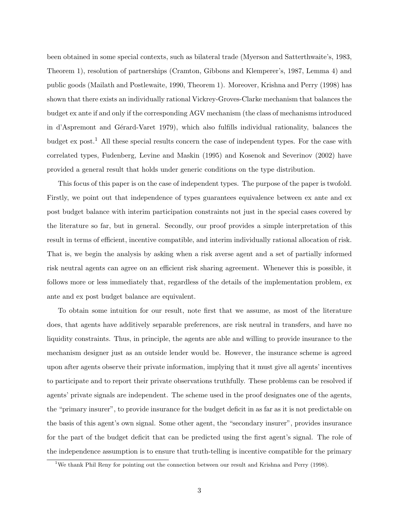been obtained in some special contexts, such as bilateral trade (Myerson and Satterthwaite's, 1983, Theorem 1), resolution of partnerships (Cramton, Gibbons and Klemperer's, 1987, Lemma 4) and public goods (Mailath and Postlewaite, 1990, Theorem 1). Moreover, Krishna and Perry (1998) has shown that there exists an individually rational Vickrey-Groves-Clarke mechanism that balances the budget ex ante if and only if the corresponding AGV mechanism (the class of mechanisms introduced in d'Aspremont and Gérard-Varet 1979), which also fulfills individual rationality, balances the budget  $\alpha$  post.<sup>1</sup> All these special results concern the case of independent types. For the case with correlated types, Fudenberg, Levine and Maskin (1995) and Kosenok and Severinov (2002) have provided a general result that holds under generic conditions on the type distribution.

This focus of this paper is on the case of independent types. The purpose of the paper is twofold. Firstly, we point out that independence of types guarantees equivalence between ex ante and ex post budget balance with interim participation constraints not just in the special cases covered by the literature so far, but in general. Secondly, our proof provides a simple interpretation of this result in terms of efficient, incentive compatible, and interim individually rational allocation of risk. That is, we begin the analysis by asking when a risk averse agent and a set of partially informed risk neutral agents can agree on an efficient risk sharing agreement. Whenever this is possible, it follows more or less immediately that, regardless of the details of the implementation problem, ex ante and ex post budget balance are equivalent.

To obtain some intuition for our result, note first that we assume, as most of the literature does, that agents have additively separable preferences, are risk neutral in transfers, and have no liquidity constraints. Thus, in principle, the agents are able and willing to provide insurance to the mechanism designer just as an outside lender would be. However, the insurance scheme is agreed upon after agents observe their private information, implying that it must give all agents' incentives to participate and to report their private observations truthfully. These problems can be resolved if agents' private signals are independent. The scheme used in the proof designates one of the agents, the "primary insurer", to provide insurance for the budget deficit in as far as it is not predictable on the basis of this agent's own signal. Some other agent, the "secondary insurer", provides insurance for the part of the budget deficit that can be predicted using the first agent's signal. The role of the independence assumption is to ensure that truth-telling is incentive compatible for the primary

<sup>&</sup>lt;sup>1</sup>We thank Phil Reny for pointing out the connection between our result and Krishna and Perry (1998).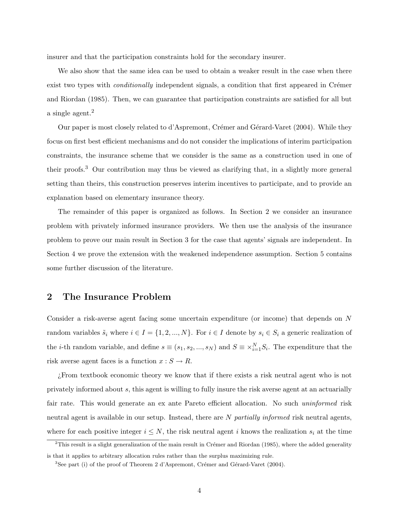insurer and that the participation constraints hold for the secondary insurer.

We also show that the same idea can be used to obtain a weaker result in the case when there exist two types with *conditionally* independent signals, a condition that first appeared in Crémer and Riordan (1985). Then, we can guarantee that participation constraints are satisfied for all but a single agent.<sup>2</sup>

Our paper is most closely related to d'Aspremont, Crémer and Gérard-Varet (2004). While they focus on first best efficient mechanisms and do not consider the implications of interim participation constraints, the insurance scheme that we consider is the same as a construction used in one of their proofs.<sup>3</sup> Our contribution may thus be viewed as clarifying that, in a slightly more general setting than theirs, this construction preserves interim incentives to participate, and to provide an explanation based on elementary insurance theory.

The remainder of this paper is organized as follows. In Section 2 we consider an insurance problem with privately informed insurance providers. We then use the analysis of the insurance problem to prove our main result in Section 3 for the case that agents' signals are independent. In Section 4 we prove the extension with the weakened independence assumption. Section 5 contains some further discussion of the literature.

#### 2 The Insurance Problem

Consider a risk-averse agent facing some uncertain expenditure (or income) that depends on N random variables  $\tilde{s}_i$  where  $i \in I = \{1, 2, ..., N\}$ . For  $i \in I$  denote by  $s_i \in S_i$  a generic realization of the *i*-th random variable, and define  $s \equiv (s_1, s_2, ..., s_N)$  and  $S \equiv \times_{i=1}^N S_i$ . The expenditure that the risk averse agent faces is a function  $x : S \to R$ .

¿From textbook economic theory we know that if there exists a risk neutral agent who is not privately informed about s, this agent is willing to fully insure the risk averse agent at an actuarially fair rate. This would generate an ex ante Pareto efficient allocation. No such uninformed risk neutral agent is available in our setup. Instead, there are N partially informed risk neutral agents, where for each positive integer  $i \leq N$ , the risk neutral agent i knows the realization  $s_i$  at the time

 $2$ This result is a slight generalization of the main result in Crémer and Riordan (1985), where the added generality is that it applies to arbitrary allocation rules rather than the surplus maximizing rule.

 ${}^{3}$ See part (i) of the proof of Theorem 2 d'Aspremont, Crémer and Gérard-Varet (2004).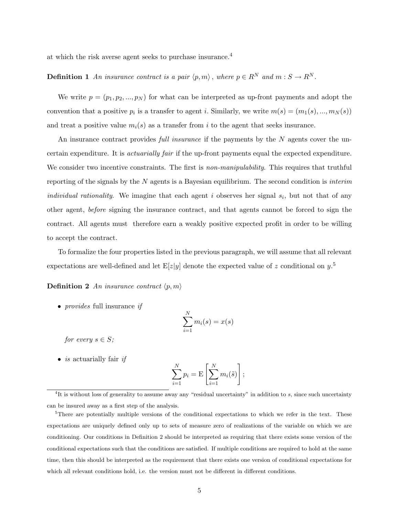at which the risk averse agent seeks to purchase insurance.<sup>4</sup>

## **Definition 1** An insurance contract is a pair  $\langle p, m \rangle$ , where  $p \in R^N$  and  $m : S \to R^N$ .

We write  $p = (p_1, p_2, ..., p_N)$  for what can be interpreted as up-front payments and adopt the convention that a positive  $p_i$  is a transfer to agent i. Similarly, we write  $m(s) = (m_1(s), ..., m_N(s))$ and treat a positive value  $m_i(s)$  as a transfer from i to the agent that seeks insurance.

An insurance contract provides *full insurance* if the payments by the N agents cover the uncertain expenditure. It is actuarially fair if the up-front payments equal the expected expenditure. We consider two incentive constraints. The first is *non-manipulability*. This requires that truthful reporting of the signals by the  $N$  agents is a Bayesian equilibrium. The second condition is *interim* individual rationality. We imagine that each agent i observes her signal  $s_i$ , but not that of any other agent, before signing the insurance contract, and that agents cannot be forced to sign the contract. All agents must therefore earn a weakly positive expected profit in order to be willing to accept the contract.

To formalize the four properties listed in the previous paragraph, we will assume that all relevant expectations are well-defined and let  $E[z|y]$  denote the expected value of z conditional on  $y$ .<sup>5</sup>

**Definition 2** An insurance contract  $\langle p, m \rangle$ 

• *provides* full insurance *if* 

$$
\sum_{i=1}^{N} m_i(s) = x(s)
$$

for every  $s \in S$ ;

• *is* actuarially fair *if* 

$$
\sum_{i=1}^{N} p_i = \mathbf{E} \left[ \sum_{i=1}^{N} m_i(\tilde{s}) \right];
$$

<sup>&</sup>lt;sup>4</sup>It is without loss of generality to assume away any "residual uncertainty" in addition to  $s$ , since such uncertainty can be insured away as a first step of the analysis.

<sup>&</sup>lt;sup>5</sup>There are potentially multiple versions of the conditional expectations to which we refer in the text. These expectations are uniquely defined only up to sets of measure zero of realizations of the variable on which we are conditioning. Our conditions in Definition 2 should be interpreted as requiring that there exists some version of the conditional expectations such that the conditions are satisfied. If multiple conditions are required to hold at the same time, then this should be interpreted as the requirement that there exists one version of conditional expectations for which all relevant conditions hold, i.e. the version must not be different in different conditions.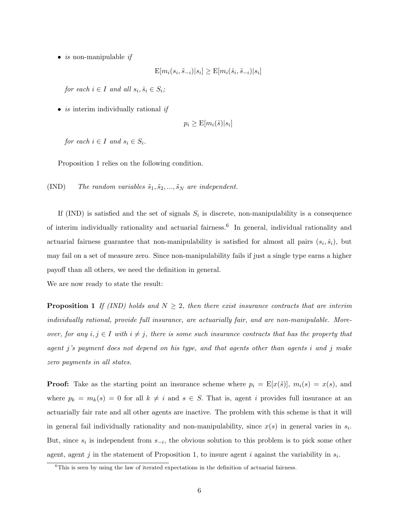• *is* non-manipulable *if* 

$$
\mathrm{E}[m_i(s_i, \tilde{s}_{-i})|s_i] \geq \mathrm{E}[m_i(\hat{s}_i, \tilde{s}_{-i})|s_i]
$$

for each  $i \in I$  and all  $s_i, \hat{s}_i \in S_i$ ;

• *is* interim individually rational *if* 

$$
p_i \ge \mathbb{E}[m_i(\tilde{s})|s_i]
$$

for each  $i \in I$  and  $s_i \in S_i$ .

Proposition 1 relies on the following condition.

(IND) The random variables  $\tilde{s}_1, \tilde{s}_2, ..., \tilde{s}_N$  are independent.

If (IND) is satisfied and the set of signals  $S_i$  is discrete, non-manipulability is a consequence of interim individually rationality and actuarial fairness.<sup>6</sup> In general, individual rationality and actuarial fairness guarantee that non-manipulability is satisfied for almost all pairs  $(s_i, \hat{s}_i)$ , but may fail on a set of measure zero. Since non-manipulability fails if just a single type earns a higher payoff than all others, we need the definition in general.

We are now ready to state the result:

**Proposition 1** If (IND) holds and  $N \geq 2$ , then there exist insurance contracts that are interim individually rational, provide full insurance, are actuarially fair, and are non-manipulable. Moreover, for any  $i, j \in I$  with  $i \neq j$ , there is some such insurance contracts that has the property that agent j's payment does not depend on his type, and that agents other than agents i and j make zero payments in all states.

**Proof:** Take as the starting point an insurance scheme where  $p_i = E[x(\tilde{s})]$ ,  $m_i(s) = x(s)$ , and where  $p_k = m_k(s) = 0$  for all  $k \neq i$  and  $s \in S$ . That is, agent i provides full insurance at an actuarially fair rate and all other agents are inactive. The problem with this scheme is that it will in general fail individually rationality and non-manipulability, since  $x(s)$  in general varies in  $s_i$ . But, since  $s_i$  is independent from  $s_{-i}$ , the obvious solution to this problem is to pick some other agent, agent j in the statement of Proposition 1, to insure agent i against the variability in  $s_i$ .

 ${}^{6}$ This is seen by using the law of iterated expectations in the definition of actuarial fairness.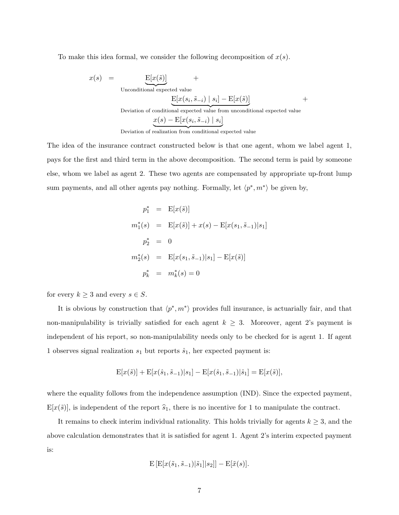To make this idea formal, we consider the following decomposition of  $x(s)$ .

$$
x(s) = \underbrace{\mathbf{E}[x(\tilde{s})]}_{\text{Unconditional expected value}} + \underbrace{\mathbf{E}[x(s_i, \tilde{s}_{-i}) \mid s_i] - \mathbf{E}[x(\tilde{s})]}_{\text{Deviation of conditional expected value from unconditional expected value}} + \underbrace{x(s) - \mathbf{E}[x(s_i, \tilde{s}_{-i}) \mid s_i]}_{\text{w}}}
$$

Deviation of realization from conditional expected value

The idea of the insurance contract constructed below is that one agent, whom we label agent 1, pays for the first and third term in the above decomposition. The second term is paid by someone else, whom we label as agent 2. These two agents are compensated by appropriate up-front lump sum payments, and all other agents pay nothing. Formally, let  $\langle p^*, m^* \rangle$  be given by,

$$
p_1^* = \mathbf{E}[x(\tilde{s})]
$$
  
\n
$$
m_1^*(s) = \mathbf{E}[x(\tilde{s})] + x(s) - \mathbf{E}[x(s_1, \tilde{s}_{-1})|s_1]
$$
  
\n
$$
p_2^* = 0
$$
  
\n
$$
m_2^*(s) = \mathbf{E}[x(s_1, \tilde{s}_{-1})|s_1] - \mathbf{E}[x(\tilde{s})]
$$
  
\n
$$
p_k^* = m_k^*(s) = 0
$$

for every  $k \geq 3$  and every  $s \in S$ .

It is obvious by construction that  $\langle p^*, m^* \rangle$  provides full insurance, is actuarially fair, and that non-manipulability is trivially satisfied for each agent  $k \geq 3$ . Moreover, agent 2's payment is independent of his report, so non-manipulability needs only to be checked for is agent 1. If agent 1 observes signal realization  $s_1$  but reports  $\hat{s}_1$ , her expected payment is:

$$
E[x(\tilde{s})] + E[x(\hat{s}_1, \tilde{s}_{-1})|s_1] - E[x(\hat{s}_1, \tilde{s}_{-1})|\hat{s}_1] = E[x(\tilde{s})],
$$

where the equality follows from the independence assumption (IND). Since the expected payment,  $E[x(\tilde{s})]$ , is independent of the report  $\hat{s}_1$ , there is no incentive for 1 to manipulate the contract.

It remains to check interim individual rationality. This holds trivially for agents  $k \geq 3$ , and the above calculation demonstrates that it is satisfied for agent 1. Agent 2's interim expected payment is:

$$
E[E[x(\tilde{s}_1, \tilde{s}_{-1})|\tilde{s}_1]|s_2]] - E[\tilde{x}(s)].
$$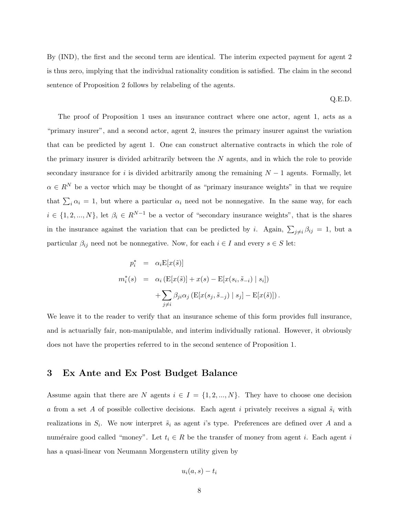By (IND), the first and the second term are identical. The interim expected payment for agent 2 is thus zero, implying that the individual rationality condition is satisfied. The claim in the second sentence of Proposition 2 follows by relabeling of the agents.

Q.E.D.

The proof of Proposition 1 uses an insurance contract where one actor, agent 1, acts as a "primary insurer", and a second actor, agent 2, insures the primary insurer against the variation that can be predicted by agent 1. One can construct alternative contracts in which the role of the primary insurer is divided arbitrarily between the  $N$  agents, and in which the role to provide secondary insurance for i is divided arbitrarily among the remaining  $N-1$  agents. Formally, let  $\alpha \in R^N$  be a vector which may be thought of as "primary insurance weights" in that we require that  $\sum_i \alpha_i = 1$ , but where a particular  $\alpha_i$  need not be nonnegative. In the same way, for each  $i \in \{1, 2, ..., N\}$ , let  $\beta_i \in R^{N-1}$  be a vector of "secondary insurance weights", that is the shares in the insurance against the variation that can be predicted by *i*. Again,  $\sum_{j\neq i} \beta_{ij} = 1$ , but a particular  $\beta_{ij}$  need not be nonnegative. Now, for each  $i \in I$  and every  $s \in S$  let:

$$
p_i^* = \alpha_i \mathbb{E}[x(\tilde{s})]
$$
  
\n
$$
m_i^*(s) = \alpha_i (\mathbb{E}[x(\tilde{s})] + x(s) - \mathbb{E}[x(s_i, \tilde{s}_{-i}) | s_i])
$$
  
\n
$$
+ \sum_{j \neq i} \beta_{ji} \alpha_j (\mathbb{E}[x(s_j, \tilde{s}_{-j}) | s_j] - \mathbb{E}[x(\tilde{s})]).
$$

We leave it to the reader to verify that an insurance scheme of this form provides full insurance, and is actuarially fair, non-manipulable, and interim individually rational. However, it obviously does not have the properties referred to in the second sentence of Proposition 1.

#### 3 Ex Ante and Ex Post Budget Balance

Assume again that there are N agents  $i \in I = \{1, 2, ..., N\}$ . They have to choose one decision a from a set A of possible collective decisions. Each agent i privately receives a signal  $\tilde{s}_i$  with realizations in  $S_i$ . We now interpret  $\tilde{s}_i$  as agent i's type. Preferences are defined over A and a numéraire good called "money". Let  $t_i \in R$  be the transfer of money from agent i. Each agent i has a quasi-linear von Neumann Morgenstern utility given by

$$
u_i(a,s)-t_i
$$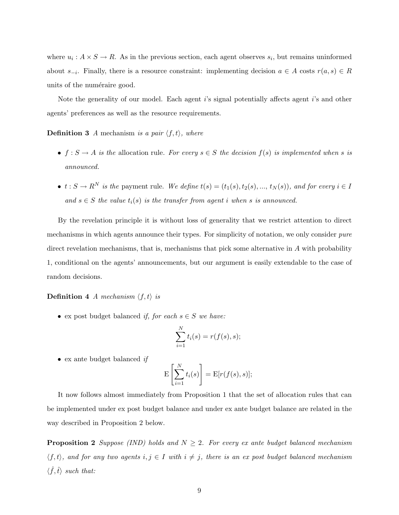where  $u_i: A \times S \to R$ . As in the previous section, each agent observes  $s_i$ , but remains uninformed about  $s_{-i}$ . Finally, there is a resource constraint: implementing decision  $a \in A$  costs  $r(a, s) \in R$ units of the numéraire good.

Note the generality of our model. Each agent i's signal potentially affects agent i's and other agents' preferences as well as the resource requirements.

**Definition 3** A mechanism is a pair  $\langle f, t \rangle$ , where

- $f: S \to A$  is the allocation rule. For every  $s \in S$  the decision  $f(s)$  is implemented when s is announced.
- $t : S \to R^N$  is the payment rule. We define  $t(s) = (t_1(s), t_2(s), ..., t_N(s)),$  and for every  $i \in I$ and  $s \in S$  the value  $t_i(s)$  is the transfer from agent i when s is announced.

By the revelation principle it is without loss of generality that we restrict attention to direct mechanisms in which agents announce their types. For simplicity of notation, we only consider *pure* direct revelation mechanisms, that is, mechanisms that pick some alternative in A with probability 1, conditional on the agents' announcements, but our argument is easily extendable to the case of random decisions.

#### **Definition 4** A mechanism  $\langle f, t \rangle$  is

• ex post budget balanced if, for each  $s \in S$  we have:

$$
\sum_{i=1}^N t_i(s) = r(f(s), s);
$$

 $\bullet\,$  ex ante budget balanced  $if$ 

$$
\mathcal{E}\left[\sum_{i=1}^N t_i(s)\right] = \mathcal{E}[r(f(s), s)];
$$

It now follows almost immediately from Proposition 1 that the set of allocation rules that can be implemented under ex post budget balance and under ex ante budget balance are related in the way described in Proposition 2 below.

**Proposition 2** Suppose (IND) holds and  $N \geq 2$ . For every ex ante budget balanced mechanism  $\langle f, t \rangle$ , and for any two agents  $i, j \in I$  with  $i \neq j$ , there is an ex post budget balanced mechanism  $\langle \hat{f}, \hat{t} \rangle$  such that: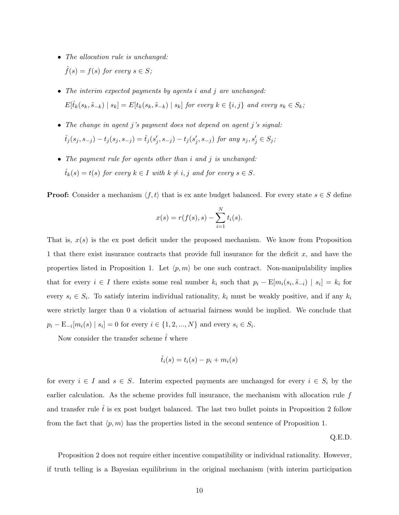- The allocation rule is unchanged:  $\hat{f}(s) = f(s)$  for every  $s \in S$ ;
- The interim expected payments by agents i and j are unchanged:  $E[\hat{t}_k(s_k, \tilde{s}_{-k}) | s_k] = E[t_k(s_k, \tilde{s}_{-k}) | s_k]$  for every  $k \in \{i, j\}$  and every  $s_k \in S_k$ ;
- The change in agent j's payment does not depend on agent j's signal:  $\hat{t}_j(s_j, s_{-j}) - t_j(s_j, s_{-j}) = \hat{t}_j(s'_j, s_{-j}) - t_j(s'_j, s_{-j})$  for any  $s_j, s'_j \in S_j$ ;
- The payment rule for agents other than i and j is unchanged:  $\hat{t}_k(s) = t(s)$  for every  $k \in I$  with  $k \neq i, j$  and for every  $s \in S$ .

**Proof:** Consider a mechanism  $\langle f, t \rangle$  that is ex ante budget balanced. For every state  $s \in S$  define

$$
x(s) = r(f(s), s) - \sum_{i=1}^{N} t_i(s).
$$

That is,  $x(s)$  is the ex-post deficit under the proposed mechanism. We know from Proposition 1 that there exist insurance contracts that provide full insurance for the deficit x, and have the properties listed in Proposition 1. Let  $\langle p, m \rangle$  be one such contract. Non-manipulability implies that for every  $i \in I$  there exists some real number  $k_i$  such that  $p_i - \mathrm{E}[m_i(s_i, \tilde{s}_{-i}) | s_i] = k_i$  for every  $s_i \in S_i$ . To satisfy interim individual rationality,  $k_i$  must be weakly positive, and if any  $k_i$ were strictly larger than 0 a violation of actuarial fairness would be implied. We conclude that  $p_i - \mathbb{E}_{-i}[m_i(s) | s_i] = 0$  for every  $i \in \{1, 2, ..., N\}$  and every  $s_i \in S_i$ .

Now consider the transfer scheme  $\hat{t}$  where

$$
\hat{t}_i(s) = t_i(s) - p_i + m_i(s)
$$

for every  $i \in I$  and  $s \in S$ . Interim expected payments are unchanged for every  $i \in S_i$  by the earlier calculation. As the scheme provides full insurance, the mechanism with allocation rule  $f$ and transfer rule  $t_i$  is expost budget balanced. The last two bullet points in Proposition 2 follow from the fact that  $\langle p, m \rangle$  has the properties listed in the second sentence of Proposition 1.

Q.E.D.

Proposition 2 does not require either incentive compatibility or individual rationality. However, if truth telling is a Bayesian equilibrium in the original mechanism (with interim participation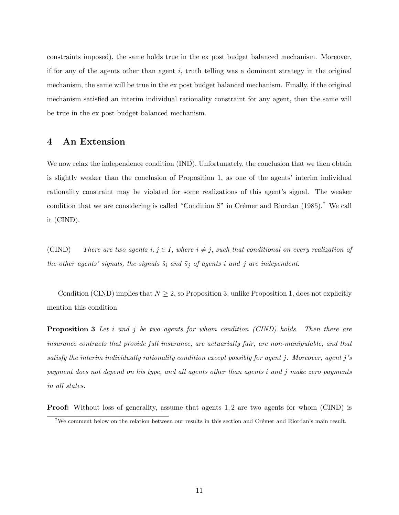constraints imposed), the same holds true in the ex post budget balanced mechanism. Moreover, if for any of the agents other than agent  $i$ , truth telling was a dominant strategy in the original mechanism, the same will be true in the ex post budget balanced mechanism. Finally, if the original mechanism satisfied an interim individual rationality constraint for any agent, then the same will be true in the ex post budget balanced mechanism.

#### 4 An Extension

We now relax the independence condition (IND). Unfortunately, the conclusion that we then obtain is slightly weaker than the conclusion of Proposition 1, as one of the agents' interim individual rationality constraint may be violated for some realizations of this agent's signal. The weaker condition that we are considering is called "Condition S" in Crémer and Riordan  $(1985)$ .<sup>7</sup> We call it (CIND).

(CIND) There are two agents  $i, j \in I$ , where  $i \neq j$ , such that conditional on every realization of the other agents' signals, the signals  $\tilde{s}_i$  and  $\tilde{s}_j$  of agents i and j are independent.

Condition (CIND) implies that  $N \geq 2$ , so Proposition 3, unlike Proposition 1, does not explicitly mention this condition.

**Proposition 3** Let i and j be two agents for whom condition (CIND) holds. Then there are insurance contracts that provide full insurance, are actuarially fair, are non-manipulable, and that satisfy the interim individually rationality condition except possibly for agent j. Moreover, agent j's payment does not depend on his type, and all agents other than agents i and j make zero payments in all states.

Proof: Without loss of generality, assume that agents 1, 2 are two agents for whom (CIND) is

<sup>&</sup>lt;sup>7</sup>We comment below on the relation between our results in this section and Crémer and Riordan's main result.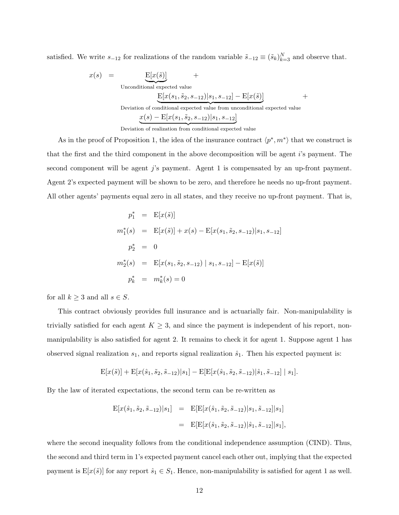satisfied. We write  $s_{-12}$  for realizations of the random variable  $\tilde{s}_{-12} \equiv (\tilde{s}_k)_{k=3}^N$  and observe that.

$$
x(s) = \underbrace{E[x(\tilde{s})]}_{\text{Unconditional expected value}} + \underbrace{E[x(s_1, \tilde{s}_2, s_{-12})|s_1, s_{-12}] - E[x(\tilde{s})]}_{\text{Deviation of conditional expected value from unconditional expected value}} + \underbrace{x(s) - E[x(s_1, \tilde{s}_2, s_{-12})|s_1, s_{-12}]}_{\text{sum}} + \underbrace{x(s) - E[x(s_1, \tilde{s}_2, s_{-12})|s_1, s_{-12}]}
$$

Deviation of realization from conditional expected value

As in the proof of Proposition 1, the idea of the insurance contract  $\langle p^*, m^* \rangle$  that we construct is that the first and the third component in the above decomposition will be agent i's payment. The second component will be agent  $j$ 's payment. Agent 1 is compensated by an up-front payment. Agent 2's expected payment will be shown to be zero, and therefore he needs no up-front payment. All other agents' payments equal zero in all states, and they receive no up-front payment. That is,

$$
p_1^* = \mathbf{E}[x(\tilde{s})]
$$
  
\n
$$
m_1^*(s) = \mathbf{E}[x(\tilde{s})] + x(s) - \mathbf{E}[x(s_1, \tilde{s}_2, s_{-12})|s_1, s_{-12}]
$$
  
\n
$$
p_2^* = 0
$$
  
\n
$$
m_2^*(s) = \mathbf{E}[x(s_1, \tilde{s}_2, s_{-12}) | s_1, s_{-12}] - \mathbf{E}[x(\tilde{s})]
$$
  
\n
$$
p_k^* = m_k^*(s) = 0
$$

for all  $k \geq 3$  and all  $s \in S$ .

This contract obviously provides full insurance and is actuarially fair. Non-manipulability is trivially satisfied for each agent  $K \geq 3$ , and since the payment is independent of his report, nonmanipulability is also satisfied for agent 2. It remains to check it for agent 1. Suppose agent 1 has observed signal realization  $s_1$ , and reports signal realization  $\hat{s}_1$ . Then his expected payment is:

$$
E[x(\tilde{s})] + E[x(\hat{s}_1, \tilde{s}_2, \tilde{s}_{-12})|s_1] - E[E[x(\hat{s}_1, \tilde{s}_2, \tilde{s}_{-12})|\hat{s}_1, \tilde{s}_{-12}] | s_1].
$$

By the law of iterated expectations, the second term can be re-written as

$$
E[x(\hat{s}_1, \tilde{s}_2, \tilde{s}_{-12})|s_1] = E[E[x(\hat{s}_1, \tilde{s}_2, \tilde{s}_{-12})|s_1, \tilde{s}_{-12}]|s_1]
$$
  
= 
$$
E[E[x(\hat{s}_1, \tilde{s}_2, \tilde{s}_{-12})|\hat{s}_1, \tilde{s}_{-12}]|s_1],
$$

where the second inequality follows from the conditional independence assumption (CIND). Thus, the second and third term in 1's expected payment cancel each other out, implying that the expected payment is  $E[x(\tilde{s})]$  for any report  $\hat{s}_1 \in S_1$ . Hence, non-manipulability is satisfied for agent 1 as well.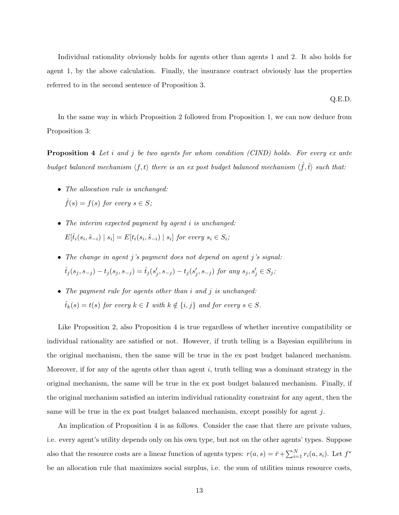Individual rationality obviously holds for agents other than agents 1 and 2. It also holds for agent 1, by the above calculation. Finally, the insurance contract obviously has the properties referred to in the second sentence of Proposition 3.

Q.E.D.

In the same way in which Proposition 2 followed from Proposition 1, we can now deduce from Proposition 3:

**Proposition 4** Let i and j be two agents for whom condition (CIND) holds. For every ex ante budget balanced mechanism  $\langle f, t \rangle$  there is an ex post budget balanced mechanism  $\langle \hat{f}, \hat{t} \rangle$  such that:

- The allocation rule is unchanged:  $\hat{f}(s) = f(s)$  for every  $s \in S$ ;
- The interim expected payment by agent *i* is unchanged:  $E[\hat{t}_i(s_i, \tilde{s}_{-i}) | s_i] = E[t_i(s_i, \tilde{s}_{-i}) | s_i]$  for every  $s_i \in S_i$ ;
- The change in agent j's payment does not depend on agent j's signal:  $\hat{t}_j(s_j, s_{-j}) - t_j(s_j, s_{-j}) = \hat{t}_j(s'_j, s_{-j}) - t_j(s'_j, s_{-j})$  for any  $s_j, s'_j \in S_j$ ;
- The payment rule for agents other than i and j is unchanged:  $\hat{t}_k(s) = t(s)$  for every  $k \in I$  with  $k \notin \{i, j\}$  and for every  $s \in S$ .

Like Proposition 2, also Proposition 4 is true regardless of whether incentive compatibility or individual rationality are satisfied or not. However, if truth telling is a Bayesian equilibrium in the original mechanism, then the same will be true in the ex post budget balanced mechanism. Moreover, if for any of the agents other than agent  $i$ , truth telling was a dominant strategy in the original mechanism, the same will be true in the ex post budget balanced mechanism. Finally, if the original mechanism satisfied an interim individual rationality constraint for any agent, then the same will be true in the ex post budget balanced mechanism, except possibly for agent  $j$ .

An implication of Proposition 4 is as follows. Consider the case that there are private values, i.e. every agent's utility depends only on his own type, but not on the other agents' types. Suppose also that the resource costs are a linear function of agents types:  $r(a, s) = \bar{r} + \sum_{i=1}^{N} r_i(a, s_i)$ . Let  $f^*$ be an allocation rule that maximizes social surplus, i.e. the sum of utilities minus resource costs,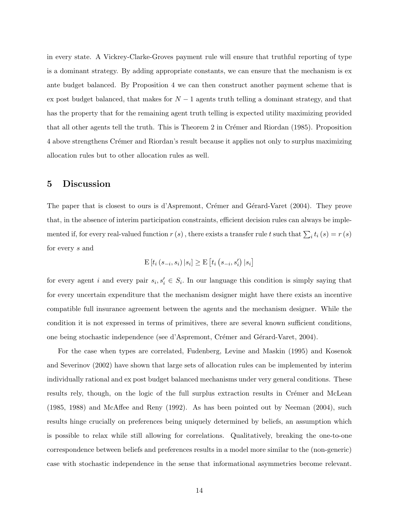in every state. A Vickrey-Clarke-Groves payment rule will ensure that truthful reporting of type is a dominant strategy. By adding appropriate constants, we can ensure that the mechanism is ex ante budget balanced. By Proposition 4 we can then construct another payment scheme that is ex post budget balanced, that makes for  $N-1$  agents truth telling a dominant strategy, and that has the property that for the remaining agent truth telling is expected utility maximizing provided that all other agents tell the truth. This is Theorem 2 in Crémer and Riordan (1985). Proposition 4 above strengthens Crémer and Riordan's result because it applies not only to surplus maximizing allocation rules but to other allocation rules as well.

#### 5 Discussion

The paper that is closest to ours is d'Aspremont, Crémer and Gérard-Varet (2004). They prove that, in the absence of interim participation constraints, efficient decision rules can always be implemented if, for every real-valued function  $r(s)$ , there exists a transfer rule t such that  $\sum_i t_i(s) = r(s)$ for every s and

$$
\mathrm{E}\left[t_{i}\left(s_{-i}, s_{i}\right) | s_{i}\right] \geq \mathrm{E}\left[t_{i}\left(s_{-i}, s_{i}'\right) | s_{i}\right]
$$

for every agent i and every pair  $s_i, s'_i \in S_i$ . In our language this condition is simply saying that for every uncertain expenditure that the mechanism designer might have there exists an incentive compatible full insurance agreement between the agents and the mechanism designer. While the condition it is not expressed in terms of primitives, there are several known sufficient conditions, one being stochastic independence (see d'Aspremont, Crémer and Gérard-Varet, 2004).

For the case when types are correlated, Fudenberg, Levine and Maskin (1995) and Kosenok and Severinov (2002) have shown that large sets of allocation rules can be implemented by interim individually rational and ex post budget balanced mechanisms under very general conditions. These results rely, though, on the logic of the full surplus extraction results in Crémer and McLean (1985, 1988) and McAffee and Reny (1992). As has been pointed out by Neeman (2004), such results hinge crucially on preferences being uniquely determined by beliefs, an assumption which is possible to relax while still allowing for correlations. Qualitatively, breaking the one-to-one correspondence between beliefs and preferences results in a model more similar to the (non-generic) case with stochastic independence in the sense that informational asymmetries become relevant.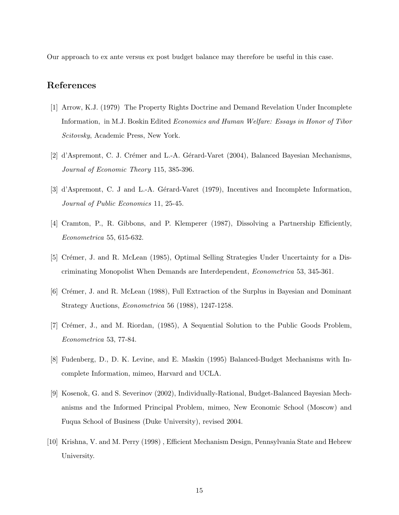Our approach to ex ante versus ex post budget balance may therefore be useful in this case.

### References

- [1] Arrow, K.J. (1979) The Property Rights Doctrine and Demand Revelation Under Incomplete Information, in M.J. Boskin Edited Economics and Human Welfare: Essays in Honor of Tibor Scitovsky, Academic Press, New York.
- [2] d'Aspremont, C. J. Crémer and L.-A. Gérard-Varet (2004), Balanced Bayesian Mechanisms, Journal of Economic Theory 115, 385-396.
- [3] d'Aspremont, C. J and L.-A. Gérard-Varet (1979), Incentives and Incomplete Information, Journal of Public Economics 11, 25-45.
- [4] Cramton, P., R. Gibbons, and P. Klemperer (1987), Dissolving a Partnership Efficiently, Econometrica 55, 615-632.
- [5] Crémer, J. and R. McLean (1985), Optimal Selling Strategies Under Uncertainty for a Discriminating Monopolist When Demands are Interdependent, Econometrica 53, 345-361.
- [6] Crémer, J. and R. McLean (1988), Full Extraction of the Surplus in Bayesian and Dominant Strategy Auctions, Econometrica 56 (1988), 1247-1258.
- [7] Crémer, J., and M. Riordan, (1985), A Sequential Solution to the Public Goods Problem, Econometrica 53, 77-84.
- [8] Fudenberg, D., D. K. Levine, and E. Maskin (1995) Balanced-Budget Mechanisms with Incomplete Information, mimeo, Harvard and UCLA.
- [9] Kosenok, G. and S. Severinov (2002), Individually-Rational, Budget-Balanced Bayesian Mechanisms and the Informed Principal Problem, mimeo, New Economic School (Moscow) and Fuqua School of Business (Duke University), revised 2004.
- [10] Krishna, V. and M. Perry (1998) , Efficient Mechanism Design, Pennsylvania State and Hebrew University.